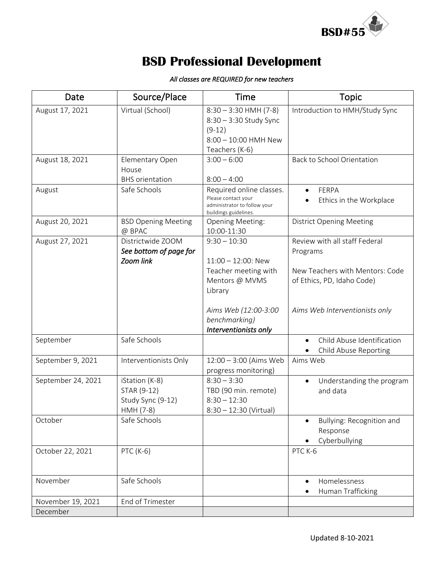

## **BSD Professional Development**

| Date               | Source/Place                                                    | Time                                                                                                     | <b>Topic</b>                                                                                               |
|--------------------|-----------------------------------------------------------------|----------------------------------------------------------------------------------------------------------|------------------------------------------------------------------------------------------------------------|
| August 17, 2021    | Virtual (School)                                                | $8:30 - 3:30$ HMH (7-8)<br>8:30 - 3:30 Study Sync<br>$(9-12)$<br>8:00 - 10:00 HMH New<br>Teachers (K-6)  | Introduction to HMH/Study Sync                                                                             |
| August 18, 2021    | Elementary Open<br>House<br><b>BHS</b> orientation              | $3:00 - 6:00$<br>$8:00 - 4:00$                                                                           | Back to School Orientation                                                                                 |
| August             | Safe Schools                                                    | Required online classes.<br>Please contact your<br>administrator to follow your<br>buildings guidelines. | FERPA<br>Ethics in the Workplace                                                                           |
| August 20, 2021    | <b>BSD Opening Meeting</b><br>@ BPAC                            | <b>Opening Meeting:</b><br>10:00-11:30                                                                   | <b>District Opening Meeting</b>                                                                            |
| August 27, 2021    | Districtwide ZOOM<br>See bottom of page for<br>Zoom link        | $9:30 - 10:30$<br>$11:00 - 12:00$ : New<br>Teacher meeting with<br>Mentors @ MVMS<br>Library             | Review with all staff Federal<br>Programs<br>New Teachers with Mentors: Code<br>of Ethics, PD, Idaho Code) |
|                    |                                                                 | Aims Web (12:00-3:00<br>benchmarking)<br>Interventionists only                                           | Aims Web Interventionists only                                                                             |
| September          | Safe Schools                                                    |                                                                                                          | Child Abuse Identification<br>Child Abuse Reporting                                                        |
| September 9, 2021  | Interventionists Only                                           | 12:00 - 3:00 (Aims Web<br>progress monitoring)                                                           | Aims Web                                                                                                   |
| September 24, 2021 | iStation (K-8)<br>STAR (9-12)<br>Study Sync (9-12)<br>HMH (7-8) | $8:30 - 3:30$<br>TBD (90 min. remote)<br>$8:30 - 12:30$<br>$8:30 - 12:30$ (Virtual)                      | Understanding the program<br>$\bullet$<br>and data                                                         |
| October            | Safe Schools                                                    |                                                                                                          | Bullying: Recognition and<br>Response<br>Cyberbullying                                                     |
| October 22, 2021   | PTC (K-6)                                                       |                                                                                                          | PTC K-6                                                                                                    |
| November           | Safe Schools                                                    |                                                                                                          | Homelessness<br>Human Trafficking                                                                          |
| November 19, 2021  | End of Trimester                                                |                                                                                                          |                                                                                                            |
| December           |                                                                 |                                                                                                          |                                                                                                            |

## *All classes are REQUIRED for new teachers*

Updated 8-10-2021